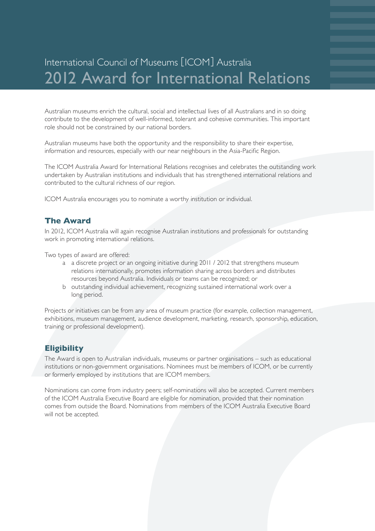# International Council of Museums [ICOM] Australia 2012 Award for International Relations

Australian museums enrich the cultural, social and intellectual lives of all Australians and in so doing contribute to the development of well-informed, tolerant and cohesive communities. This important role should not be constrained by our national borders.

Australian museums have both the opportunity and the responsibility to share their expertise, information and resources, especially with our near neighbours in the Asia-Pacific Region.

The ICOM Australia Award for International Relations recognises and celebrates the outstanding work undertaken by Australian institutions and individuals that has strengthened international relations and contributed to the cultural richness of our region.

ICOM Australia encourages you to nominate a worthy institution or individual.

#### **The Award**

In 2012, ICOM Australia will again recognise Australian institutions and professionals for outstanding work in promoting international relations.

Two types of award are offered:

- a a discrete project or an ongoing initiative during 2011 / 2012 that strengthens museum relations internationally, promotes information sharing across borders and distributes resources beyond Australia. Individuals or teams can be recognized; or
- b outstanding individual achievement, recognizing sustained international work over a long period.

Projects or initiatives can be from any area of museum practice (for example, collection management, exhibitions, museum management, audience development, marketing, research, sponsorship, education, training or professional development).

#### **Eligibility**

The Award is open to Australian individuals, museums or partner organisations – such as educational institutions or non-government organisations. Nominees must be members of ICOM, or be currently or formerly employed by institutions that are ICOM members.

Nominations can come from industry peers; self-nominations will also be accepted. Current members of the ICOM Australia Executive Board are eligible for nomination, provided that their nomination comes from outside the Board. Nominations from members of the ICOM Australia Executive Board will not be accepted.